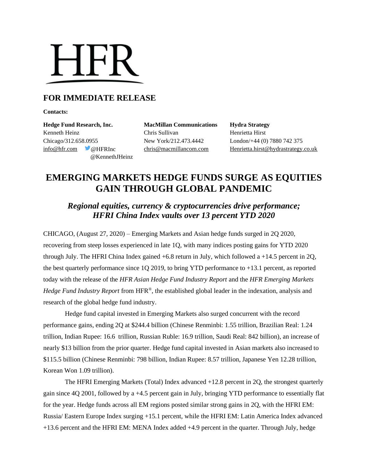

## **FOR IMMEDIATE RELEASE**

**Contacts:**

**Hedge Fund Research, Inc. MacMillan Communications Hydra Strategy** Kenneth Heinz Chris Sullivan Henrietta Hirst Chicago/312.658.0955 New York/212.473.4442 London/+44 (0) 7880 742 375 @KennethJHeinz

[info@hfr.com](mailto:info@hfr.com) @HFRInc [chris@macmillancom.com](mailto:chris@macmillancom.com) Henrietta.hirst@hydrastrategy.co.uk

## **EMERGING MARKETS HEDGE FUNDS SURGE AS EQUITIES GAIN THROUGH GLOBAL PANDEMIC**

## *Regional equities, currency & cryptocurrencies drive performance; HFRI China Index vaults over 13 percent YTD 2020*

CHICAGO, (August 27, 2020) – Emerging Markets and Asian hedge funds surged in 2Q 2020, recovering from steep losses experienced in late 1Q, with many indices posting gains for YTD 2020 through July. The HFRI China Index gained  $+6.8$  return in July, which followed a  $+14.5$  percent in 2Q, the best quarterly performance since 1Q 2019, to bring YTD performance to +13.1 percent, as reported today with the release of the *HFR Asian Hedge Fund Industry Report* and the *HFR Emerging Markets Hedge Fund Industry Report* from HFR®, the established global leader in the indexation, analysis and research of the global hedge fund industry.

Hedge fund capital invested in Emerging Markets also surged concurrent with the record performance gains, ending 2Q at \$244.4 billion (Chinese Renminbi: 1.55 trillion, Brazilian Real: 1.24 trillion, Indian Rupee: 16.6 trillion, Russian Ruble: 16.9 trillion, Saudi Real: 842 billion), an increase of nearly \$13 billion from the prior quarter. Hedge fund capital invested in Asian markets also increased to \$115.5 billion (Chinese Renminbi: 798 billion, Indian Rupee: 8.57 trillion, Japanese Yen 12.28 trillion, Korean Won 1.09 trillion).

The HFRI Emerging Markets (Total) Index advanced +12.8 percent in 2Q, the strongest quarterly gain since 4Q 2001, followed by a +4.5 percent gain in July, bringing YTD performance to essentially flat for the year. Hedge funds across all EM regions posted similar strong gains in 2Q, with the HFRI EM: Russia/ Eastern Europe Index surging +15.1 percent, while the HFRI EM: Latin America Index advanced +13.6 percent and the HFRI EM: MENA Index added +4.9 percent in the quarter. Through July, hedge